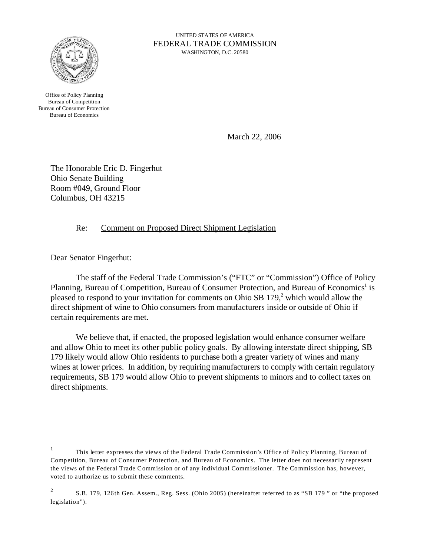

UNITED STATES OF AMERICA FEDERAL TRADE COMMISSION WASHINGTON, D.C. 20580

Office of Policy Planning Bureau of Competition Bureau of Consumer Protection Bureau of Economics

March 22, 2006

The Honorable Eric D. Fingerhut Ohio Senate Building Room #049, Ground Floor Columbus, OH 43215

Re: Comment on Proposed Direct Shipment Legislation

Dear Senator Fingerhut:

The staff of the Federal Trade Commission's ("FTC" or "Commission") Office of Policy Planning, Bureau of Competition, Bureau of Consumer Protection, and Bureau of Economics<sup>1</sup> is pleased to respond to your invitation for comments on Ohio SB 179,<sup>2</sup> which would allow the direct shipment of wine to Ohio consumers from manufacturers inside or outside of Ohio if certain requirements are met.

We believe that, if enacted, the proposed legislation would enhance consumer welfare and allow Ohio to meet its other public policy goals. By allowing interstate direct shipping, SB 179 likely would allow Ohio residents to purchase both a greater variety of wines and many wines at lower prices. In addition, by requiring manufacturers to comply with certain regulatory requirements, SB 179 would allow Ohio to prevent shipments to minors and to collect taxes on direct shipments.

<sup>1</sup> This letter expresses the views of the Federal Trade Commission's Office of Policy Planning, Bureau of Competition, Bureau of Consumer Protection, and Bureau of Economics. The letter does not necessarily represent the views of the Federal Trade Commission or of any individual Commissioner. The Commission has, however, voted to authorize us to submit these comments.

<sup>&</sup>lt;sup>2</sup> S.B. 179, 126th Gen. Assem., Reg. Sess. (Ohio 2005) (hereinafter referred to as "SB 179" or "the proposed legislation").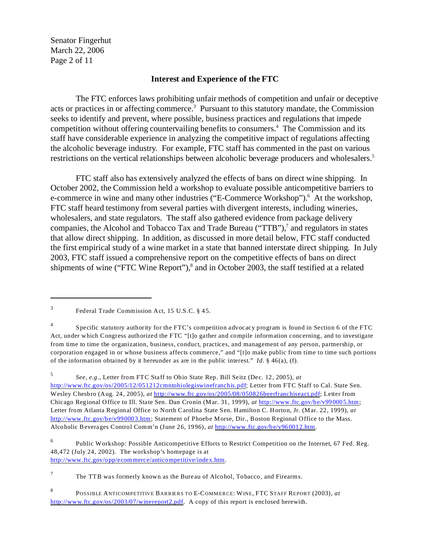Senator Fingerhut March 22, 2006 Page 2 of 11

## **Interest and Experience of the FTC**

The FTC enforces laws prohibiting unfair methods of competition and unfair or deceptive acts or practices in or affecting commerce.<sup>3</sup> Pursuant to this statutory mandate, the Commission seeks to identify and prevent, where possible, business practices and regulations that impede competition without offering countervailing benefits to consumers.<sup>4</sup> The Commission and its staff have considerable experience in analyzing the competitive impact of regulations affecting the alcoholic beverage industry. For example, FTC staff has commented in the past on various restrictions on the vertical relationships between alcoholic beverage producers and wholesalers.<sup>5</sup>

FTC staff also has extensively analyzed the effects of bans on direct wine shipping. In October 2002, the Commission held a workshop to evaluate possible anticompetitive barriers to e-commerce in wine and many other industries ("E-Commerce Workshop").<sup>6</sup> At the workshop, FTC staff heard testimony from several parties with divergent interests, including wineries, wholesalers, and state regulators. The staff also gathered evidence from package delivery companies, the Alcohol and Tobacco Tax and Trade Bureau ("TTB"),<sup>7</sup> and regulators in states that allow direct shipping. In addition, as discussed in more detail below, FTC staff conducted the first empirical study of a wine market in a state that banned interstate direct shipping. In July 2003, FTC staff issued a comprehensive report on the competitive effects of bans on direct shipments of wine ("FTC Wine Report"),<sup>8</sup> and in October 2003, the staff testified at a related

 $7$  The TTB was formerly known as the Bureau of Alcohol, Tobacco, and Firearms.

<sup>3</sup> Federal Trade Commission Act, 15 U.S.C. § 45.

<sup>4</sup> Specific statutory authority for the FTC's competition advocacy program is found in Section 6 of the FTC Act, under which Congress authorized the FTC "[t]o gather and compile information concerning, and to investigate from time to time the organization, business, conduct, practices, and management of any person, partnership, or corporation engaged in or whose business affects commerce," and "[t]o make public from time to time such portions of the information obtained by it hereunder as are in the public interest." *Id.* § 46(a), (f).

<sup>5</sup>*See*, *e.g*., Letter from FTC Staff to Ohio State Rep. Bill Seitz (Dec. 12, 2005), *at*  [http://www.ftc.gov/os/2005/12/051212cmntohiolegiswinefranchis.pdf](http://www.ftc.gov/os/2005/12/051212cmntohiolegiswinefranchis); Letter from FTC Staff to Cal. State Sen. Wesley Chesbro (Aug. 24, 2005), *at* <http://www.ftc.gov/os/2005/08/050826beerfranchiseact.pdf>; Letter from Chicago Regional Office to Ill. State Sen. Dan Cronin (Mar. 31, 1999), *at* <http://www.ftc.gov/be/v990005.htm>; Letter from Atlanta Regional Office to North Carolina State Sen. Hamilton C. Horton, Jr. (Mar. 22, 1999), *at*  <http://www.ftc.gov/be/v990003.htm>; Statement of Phoebe Morse, Dir., Boston Regional Office to the Mass. Alcoholic Beverages Control Comm'n (June 26, 1996), *at* [http://www.ftc.gov/be/v960012.htm](http://www.ftc.gov/be/v960012.htm.).

<sup>6</sup> Public Workshop: Possible Anticompetitive Efforts to Restrict Competition on the Internet, 67 Fed. Reg. 48,472 (July 24, 2002). The workshop's homepage is at <http://www.ftc.gov/opp/ecommerce/anticompetitive/index.htm>.

<sup>8</sup>  [http://www.ftc.gov/os/2003/07/winereport2.pdf](http://www.ftc.gov/os/2003/07/winereport2.pdf.). A copy of this report is enclosed herewith. POSSIBLE ANTICOMPETITIVE BARRIERS TO E-COMMERCE: WINE, FTC STAFF REPORT (2003), at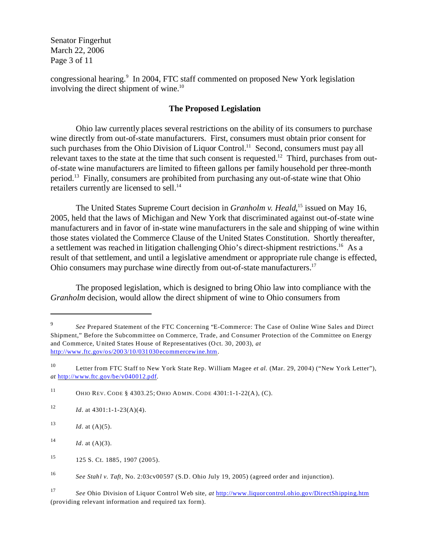Senator Fingerhut March 22, 2006 Page 3 of 11

congressional hearing.<sup>9</sup> In 2004, FTC staff commented on proposed New York legislation involving the direct shipment of wine.<sup>10</sup>

## **The Proposed Legislation**

Ohio law currently places several restrictions on the ability of its consumers to purchase wine directly from out-of-state manufacturers. First, consumers must obtain prior consent for such purchases from the Ohio Division of Liquor Control.<sup>11</sup> Second, consumers must pay all relevant taxes to the state at the time that such consent is requested.<sup>12</sup> Third, purchases from outof-state wine manufacturers are limited to fifteen gallons per family household per three-month period.13 Finally, consumers are prohibited from purchasing any out-of-state wine that Ohio retailers currently are licensed to sell.<sup>14</sup>

The United States Supreme Court decision in *Granholm v. Heald*,<sup>15</sup> issued on May 16, 2005, held that the laws of Michigan and New York that discriminated against out-of-state wine manufacturers and in favor of in-state wine manufacturers in the sale and shipping of wine within those states violated the Commerce Clause of the United States Constitution. Shortly thereafter, a settlement was reached in litigation challenging Ohio's direct-shipment restrictions.<sup>16</sup> As a result of that settlement, and until a legislative amendment or appropriate rule change is effected, Ohio consumers may purchase wine directly from out-of-state manufacturers.<sup>17</sup>

The proposed legislation, which is designed to bring Ohio law into compliance with the *Granholm* decision, would allow the direct shipment of wine to Ohio consumers from

<sup>&</sup>lt;sup>9</sup> See Prepared Statement of the FTC Concerning "E-Commerce: The Case of Online Wine Sales and Direct Shipment," Before the Subcommittee on Commerce, Trade, and Consumer Protection of the Committee on Energy and Commerce, United States House of Representatives (Oct. 30, 2003), *at*  <http://www.ftc.gov/os/2003/10/031030ecommercewine.htm>.

<sup>10</sup> Letter from FTC Staff to New York State Rep. William Magee *et al.* (Mar. 29, 2004) ("New York Letter"), *at* [http://www.ftc.gov/be/v040012.pdf](http://www.ftc.gov/be/v040012.pdf.).

<sup>11</sup> OHIO REV. CODE § 4303.25; OHIO ADMIN. CODE 4301:1-1-22(A), (C).

<sup>&</sup>lt;sup>12</sup> *Id.* at  $4301:1 - 1 - 23(A)(4)$ .

<sup>13</sup>  $Id.$  at  $(A)(5).$ 

<sup>14</sup> *Id.* at  $(A)(3)$ .

<sup>15 125</sup> S. Ct. 1885, 1907 (2005).

<sup>16</sup>*See Stahl v. Taft*, No. 2:03cv00597 (S.D. Ohio July 19, 2005) (agreed order and injunction).

<sup>17</sup>*See* Ohio Division of Liquor Control Web site, *at* <http://www.liquorcontrol.ohio.gov/DirectShipping.htm> (providing relevant information and required tax form).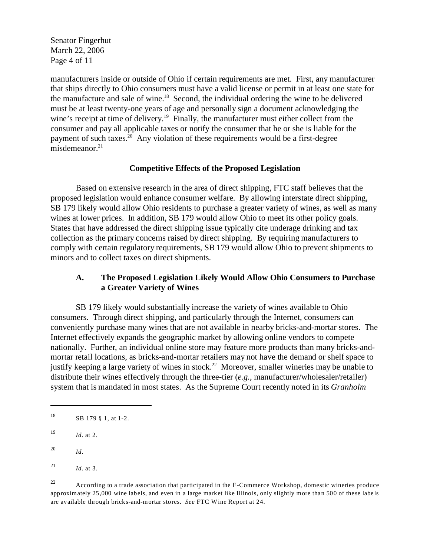Senator Fingerhut March 22, 2006 Page 4 of 11

manufacturers inside or outside of Ohio if certain requirements are met. First, any manufacturer that ships directly to Ohio consumers must have a valid license or permit in at least one state for the manufacture and sale of wine.<sup>18</sup> Second, the individual ordering the wine to be delivered must be at least twenty-one years of age and personally sign a document acknowledging the wine's receipt at time of delivery.<sup>19</sup> Finally, the manufacturer must either collect from the consumer and pay all applicable taxes or notify the consumer that he or she is liable for the payment of such taxes.20 Any violation of these requirements would be a first-degree misdemeanor. $21$ 

#### **Competitive Effects of the Proposed Legislation**

Based on extensive research in the area of direct shipping, FTC staff believes that the proposed legislation would enhance consumer welfare. By allowing interstate direct shipping, SB 179 likely would allow Ohio residents to purchase a greater variety of wines, as well as many wines at lower prices. In addition, SB 179 would allow Ohio to meet its other policy goals. States that have addressed the direct shipping issue typically cite underage drinking and tax collection as the primary concerns raised by direct shipping. By requiring manufacturers to comply with certain regulatory requirements, SB 179 would allow Ohio to prevent shipments to minors and to collect taxes on direct shipments.

## **A. The Proposed Legislation Likely Would Allow Ohio Consumers to Purchase a Greater Variety of Wines**

SB 179 likely would substantially increase the variety of wines available to Ohio consumers. Through direct shipping, and particularly through the Internet, consumers can conveniently purchase many wines that are not available in nearby bricks-and-mortar stores. The Internet effectively expands the geographic market by allowing online vendors to compete nationally. Further, an individual online store may feature more products than many bricks-andmortar retail locations, as bricks-and-mortar retailers may not have the demand or shelf space to justify keeping a large variety of wines in stock.<sup>22</sup> Moreover, smaller wineries may be unable to distribute their wines effectively through the three-tier (*e.g.*, manufacturer/wholesaler/retailer) system that is mandated in most states. As the Supreme Court recently noted in its *Granholm* 

<sup>22</sup> According to a trade association that participated in the E-Commerce Workshop, domestic wineries produce approximately 25,000 wine labels, and even in a large market like Illinois, only slightly more than 500 of these labels are available through bricks-and-mortar stores. *See* FTC Wine Report at 24.

<sup>18</sup> SB 179 § 1, at 1-2.

<sup>19</sup>*Id.* at 2.

<sup>20</sup>*Id.* 

<sup>&</sup>lt;sup>21</sup> *Id.* at 3.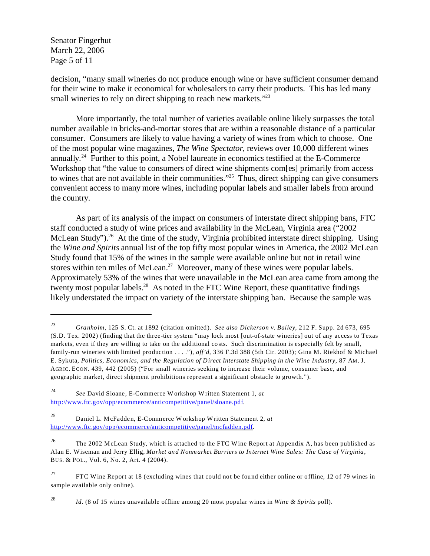Senator Fingerhut March 22, 2006 Page 5 of 11

decision, "many small wineries do not produce enough wine or have sufficient consumer demand for their wine to make it economical for wholesalers to carry their products. This has led many small wineries to rely on direct shipping to reach new markets."<sup>23</sup>

More importantly, the total number of varieties available online likely surpasses the total number available in bricks-and-mortar stores that are within a reasonable distance of a particular consumer. Consumers are likely to value having a variety of wines from which to choose. One of the most popular wine magazines, *The Wine Spectator*, reviews over 10,000 different wines annually.24 Further to this point, a Nobel laureate in economics testified at the E-Commerce Workshop that "the value to consumers of direct wine shipments com[es] primarily from access to wines that are not available in their communities."<sup>25</sup> Thus, direct shipping can give consumers convenient access to many more wines, including popular labels and smaller labels from around the country.

As part of its analysis of the impact on consumers of interstate direct shipping bans, FTC staff conducted a study of wine prices and availability in the McLean, Virginia area ("2002 McLean Study").<sup>26</sup> At the time of the study, Virginia prohibited interstate direct shipping. Using the *Wine and Spirits* annual list of the top fifty most popular wines in America, the 2002 McLean Study found that 15% of the wines in the sample were available online but not in retail wine stores within ten miles of McLean.<sup>27</sup> Moreover, many of these wines were popular labels. Approximately 53% of the wines that were unavailable in the McLean area came from among the twenty most popular labels.<sup>28</sup> As noted in the FTC Wine Report, these quantitative findings likely understated the impact on variety of the interstate shipping ban. Because the sample was

<sup>28</sup>*Id.* (8 of 15 wines unavailable offline among 20 most popular wines in *Wine & Spirits* poll).

<sup>23</sup>*Granholm*, 125 S. Ct. at 1892 (citation omitted). *See also Dickerson v. Bailey*, 212 F. Supp. 2d 673, 695 (S.D. Tex. 2002) (finding that the three-tier system "may lock most [out-of-state wineries] out of any access to Texas markets, even if they are willing to take on the additional costs. Such discrimination is especially felt by small, family-run wineries with limited production . . . ."), *aff'd*, 336 F.3d 388 (5th Cir. 2003); Gina M. Riekhof & Michael E. Sykuta, *Politics, Economics, and the Regulation of Direct Interstate Shipping in the Wine Industry*, 87 AM. J. AGRIC. ECON. 439, 442 (2005) ("For small wineries seeking to increase their volume, consumer base, and geographic market, direct shipment prohibitions represent a significant obstacle to growth.").

<sup>24</sup>*See* David Sloane, E-Commerce W orkshop W ritten Statement 1, *at*  <http://www.ftc.gov/opp/ecommerce/anticompetitive/panel/sloane>.pdf.

<sup>25</sup> Daniel L. McFadden, E-Commerce W orkshop W ritten Statement 2, *at*  <http://www.ftc.gov/opp/ecommerce/anticompetitive/panel/mcfadden>.pdf.

<sup>&</sup>lt;sup>26</sup> The 2002 M cLean Study, which is attached to the FTC W ine Report at Appendix A, has been published as Alan E. Wiseman and Jerry Ellig, *Market and Nonmarket Barriers to Internet Wine Sales: The Case of Virginia*, BUS. & POL., Vol. 6, No. 2, Art. 4 (2004).

<sup>&</sup>lt;sup>27</sup> FTC Wine Report at 18 (excluding wines that could not be found either online or offline, 12 of 79 wines in sample available only online).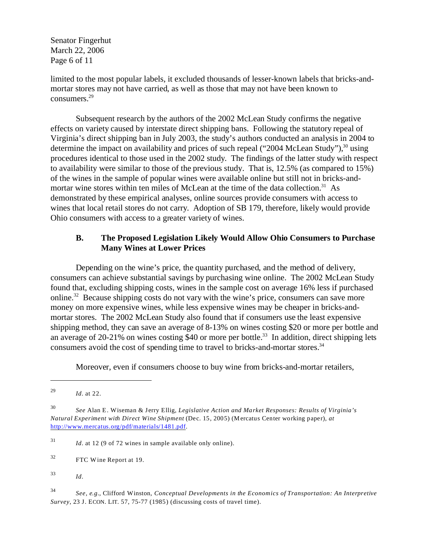Senator Fingerhut March 22, 2006 Page 6 of 11

limited to the most popular labels, it excluded thousands of lesser-known labels that bricks-andmortar stores may not have carried, as well as those that may not have been known to consumers.29

Subsequent research by the authors of the 2002 McLean Study confirms the negative effects on variety caused by interstate direct shipping bans. Following the statutory repeal of Virginia's direct shipping ban in July 2003, the study's authors conducted an analysis in 2004 to determine the impact on availability and prices of such repeal ("2004 McLean Study"), $30$  using procedures identical to those used in the 2002 study. The findings of the latter study with respect to availability were similar to those of the previous study. That is, 12.5% (as compared to 15%) of the wines in the sample of popular wines were available online but still not in bricks-andmortar wine stores within ten miles of McLean at the time of the data collection.<sup>31</sup> As demonstrated by these empirical analyses, online sources provide consumers with access to wines that local retail stores do not carry. Adoption of SB 179, therefore, likely would provide Ohio consumers with access to a greater variety of wines.

# **B. The Proposed Legislation Likely Would Allow Ohio Consumers to Purchase Many Wines at Lower Prices**

Depending on the wine's price, the quantity purchased, and the method of delivery, consumers can achieve substantial savings by purchasing wine online. The 2002 McLean Study found that, excluding shipping costs, wines in the sample cost on average 16% less if purchased online.<sup>32</sup> Because shipping costs do not vary with the wine's price, consumers can save more money on more expensive wines, while less expensive wines may be cheaper in bricks-andmortar stores. The 2002 McLean Study also found that if consumers use the least expensive shipping method, they can save an average of 8-13% on wines costing \$20 or more per bottle and an average of 20-21% on wines costing \$40 or more per bottle.<sup>33</sup> In addition, direct shipping lets consumers avoid the cost of spending time to travel to bricks-and-mortar stores.<sup>34</sup>

Moreover, even if consumers choose to buy wine from bricks-and-mortar retailers,

<sup>29</sup>*Id.* at 22.

32 FTC Wine Report at 19.

<sup>33</sup>*Id.* 

<sup>34</sup>*See, e.g.*, Clifford Winston, *Conceptual Developments in the Economics of Transportation: An Interpretive Survey*, 23 J. ECON. LIT. 57, 75-77 (1985) (discussing costs of travel time).

<sup>30</sup>*See* Alan E. Wiseman & Jerry Ellig, *Legislative Action and Market Responses: Results of Virginia's Natural Experiment with Direct Wine Shipment* (Dec. 15, 2005) (Mercatus Center working paper), *at*  <http://www.mercatus.org/pdf/materials/1481.pdf>.

<sup>31</sup>*Id.* at 12 (9 of 72 wines in sample available only online).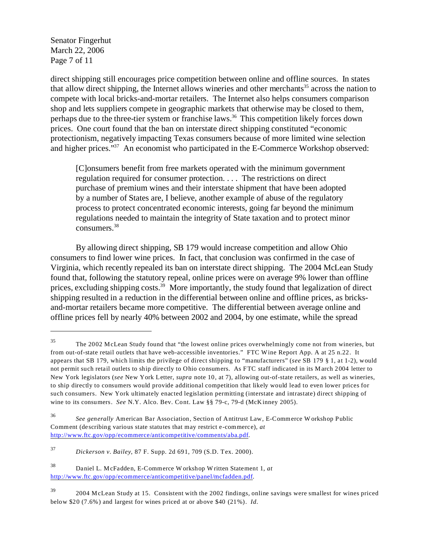Senator Fingerhut March 22, 2006 Page 7 of 11

direct shipping still encourages price competition between online and offline sources. In states that allow direct shipping, the Internet allows wineries and other merchants<sup>35</sup> across the nation to compete with local bricks-and-mortar retailers. The Internet also helps consumers comparison shop and lets suppliers compete in geographic markets that otherwise may be closed to them, perhaps due to the three-tier system or franchise laws.<sup>36</sup> This competition likely forces down prices. One court found that the ban on interstate direct shipping constituted "economic protectionism, negatively impacting Texas consumers because of more limited wine selection and higher prices."<sup>37</sup> An economist who participated in the E-Commerce Workshop observed:

[C]onsumers benefit from free markets operated with the minimum government regulation required for consumer protection. . . . The restrictions on direct purchase of premium wines and their interstate shipment that have been adopted by a number of States are, I believe, another example of abuse of the regulatory process to protect concentrated economic interests, going far beyond the minimum regulations needed to maintain the integrity of State taxation and to protect minor consumers.38

By allowing direct shipping, SB 179 would increase competition and allow Ohio consumers to find lower wine prices. In fact, that conclusion was confirmed in the case of Virginia, which recently repealed its ban on interstate direct shipping. The 2004 McLean Study found that, following the statutory repeal, online prices were on average 9% lower than offline prices, excluding shipping costs.<sup>39</sup> More importantly, the study found that legalization of direct shipping resulted in a reduction in the differential between online and offline prices, as bricksand-mortar retailers became more competitive. The differential between average online and offline prices fell by nearly 40% between 2002 and 2004, by one estimate, while the spread

<sup>35</sup> The 2002 McLean Study found that "the lowest online prices overwhelmingly come not from wineries, but from out-of-state retail outlets that have web-accessible inventories." FTC Wine Report App. A at 25 n.22. It appears that SB 179, which limits the privilege of direct shipping to "manufacturers" (*see* SB 179 § 1, at 1-2), would not permit such retail outlets to ship directly to Ohio consumers. As FTC staff indicated in its March 2004 letter to New York legislators (*see* New York Letter, *supra* note 10, at 7), allowing out-of-state retailers, as well as wineries, to ship directly to consumers would provide additional competition that likely would lead to even lower prices for such consumers. New York ultimately enacted legislation permitting (interstate and intrastate) direct shipping of wine to its consumers. *See* N.Y. Alco. Bev. Cont. Law §§ 79-c, 79-d (McKinney 2005).

<sup>36</sup>*See generally* American Bar Association, Section of Antitrust Law, E-Commerce W orkshop Public Comment (describing various state statutes that may restrict e-commerce), *at*  <http://www.ftc.gov/opp/ecommerce/anticompetitive/comments/aba>.pdf.

<sup>37</sup>*Dickerson v. Bailey*, 87 F. Supp. 2d 691, 709 (S.D. Tex. 2000).

<sup>38</sup> Daniel L. McFadden, E-Commerce W orkshop W ritten Statement 1, *at*  <http://www.ftc.gov/opp/ecommerce/anticompetitive/panel/mcfadden>.pdf.

<sup>39 2004</sup> McLean Study at 15. Consistent with the 2002 findings, online savings were smallest for wines priced below \$20 (7.6%) and largest for wines priced at or above \$40 (21%). *Id.*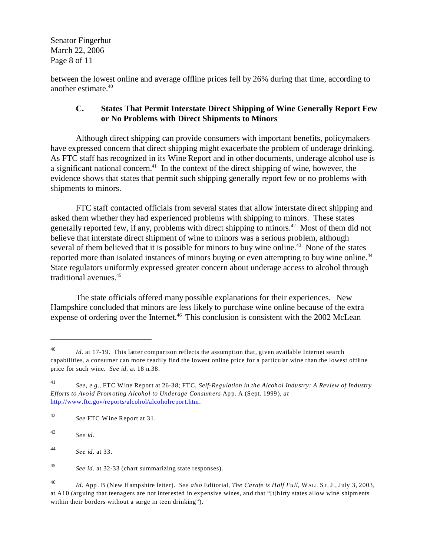Senator Fingerhut March 22, 2006 Page 8 of 11

between the lowest online and average offline prices fell by 26% during that time, according to another estimate.40

# **C. States That Permit Interstate Direct Shipping of Wine Generally Report Few or No Problems with Direct Shipments to Minors**

Although direct shipping can provide consumers with important benefits, policymakers have expressed concern that direct shipping might exacerbate the problem of underage drinking. As FTC staff has recognized in its Wine Report and in other documents, underage alcohol use is a significant national concern.<sup>41</sup> In the context of the direct shipping of wine, however, the evidence shows that states that permit such shipping generally report few or no problems with shipments to minors.

FTC staff contacted officials from several states that allow interstate direct shipping and asked them whether they had experienced problems with shipping to minors. These states generally reported few, if any, problems with direct shipping to minors.<sup>42</sup> Most of them did not believe that interstate direct shipment of wine to minors was a serious problem, although several of them believed that it is possible for minors to buy wine online.<sup>43</sup> None of the states reported more than isolated instances of minors buying or even attempting to buy wine online.<sup>44</sup> State regulators uniformly expressed greater concern about underage access to alcohol through traditional avenues.45

The state officials offered many possible explanations for their experiences. New Hampshire concluded that minors are less likely to purchase wine online because of the extra expense of ordering over the Internet.<sup>46</sup> This conclusion is consistent with the 2002 McLean

<sup>40</sup>*Id.* at 17-19. This latter comparison reflects the assumption that, given available Internet search capabilities, a consumer can more readily find the lowest online price for a particular wine than the lowest offline price for such wine. *See id.* at 18 n.38.

<sup>41</sup>*See, e.g.*, FTC Wine Report at 26-38; FTC, *Self-Regulation in the Alcohol Industry: A Review of Industry Efforts to Avoid Promoting Alcohol to Underage Consumers* App. A (Sept. 1999), *at*  <http://www.ftc.gov/reports/alcohol/alcoholreport.htm>.

<sup>42</sup>*See* FTC Wine Report at 31.

<sup>43</sup>*See id.* 

<sup>44</sup>*See id.* at 33.

<sup>45</sup>*See id*. at 32-33 (chart summarizing state responses).

<sup>46</sup>*Id.* App. B (New Hampshire letter). *See also* Editorial, *The Carafe is Half Full*, WALL ST. J., July 3, 2003, at A10 (arguing that teenagers are not interested in expensive wines, and that "[t]hirty states allow wine shipments within their borders without a surge in teen drinking").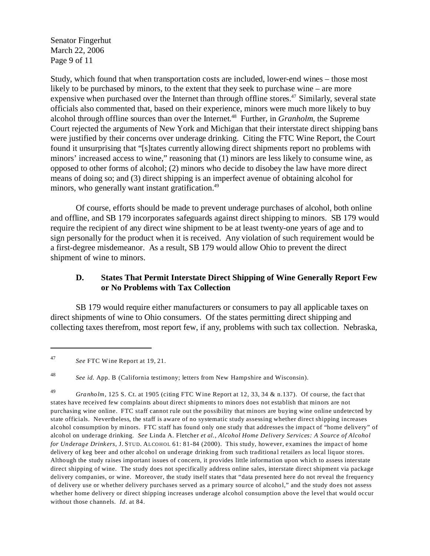Senator Fingerhut March 22, 2006 Page 9 of 11

Study, which found that when transportation costs are included, lower-end wines – those most likely to be purchased by minors, to the extent that they seek to purchase wine – are more expensive when purchased over the Internet than through offline stores.<sup>47</sup> Similarly, several state officials also commented that, based on their experience, minors were much more likely to buy alcohol through offline sources than over the Internet. 48 Further, in *Granholm*, the Supreme Court rejected the arguments of New York and Michigan that their interstate direct shipping bans were justified by their concerns over underage drinking. Citing the FTC Wine Report, the Court found it unsurprising that "[s]tates currently allowing direct shipments report no problems with minors' increased access to wine," reasoning that (1) minors are less likely to consume wine, as opposed to other forms of alcohol; (2) minors who decide to disobey the law have more direct means of doing so; and (3) direct shipping is an imperfect avenue of obtaining alcohol for minors, who generally want instant gratification.<sup>49</sup>

Of course, efforts should be made to prevent underage purchases of alcohol, both online and offline, and SB 179 incorporates safeguards against direct shipping to minors. SB 179 would require the recipient of any direct wine shipment to be at least twenty-one years of age and to sign personally for the product when it is received. Any violation of such requirement would be a first-degree misdemeanor. As a result, SB 179 would allow Ohio to prevent the direct shipment of wine to minors.

# **D. States That Permit Interstate Direct Shipping of Wine Generally Report Few or No Problems with Tax Collection**

SB 179 would require either manufacturers or consumers to pay all applicable taxes on direct shipments of wine to Ohio consumers. Of the states permitting direct shipping and collecting taxes therefrom, most report few, if any, problems with such tax collection. Nebraska,

<sup>48</sup>*See id.* App. B (California testimony; letters from New Hampshire and Wisconsin).

<sup>47</sup>*See* FTC Wine Report at 19, 21.

<sup>49</sup>*Granholm*, 125 S. Ct. at 1905 (citing FTC Wine Report at 12, 33, 34 & n.137). Of course, the fact that states have received few complaints about direct shipments to minors does not establish that minors are not purchasing wine online. FTC staff cannot rule out the possibility that minors are buying wine online undetected by state officials. Nevertheless, the staff is aware of no systematic study assessing whether direct shipping increases alcohol consumption by minors. FTC staff has found only one study that addresses the impact of "home delivery" of alcohol on underage drinking. *See* Linda A. Fletcher *et al.*, *Alcohol Home Delivery Services: A Source of Alcohol for Underage Drinkers*, J. STUD. ALCOHOL 61: 81-84 (2000). This study, however, examines the impact of home delivery of keg beer and other alcohol on underage drinking from such traditional retailers as local liquor stores. Although the study raises important issues of concern, it provides little information upon which to assess interstate direct shipping of wine. The study does not specifically address online sales, interstate direct shipment via package delivery companies, or wine. Moreover, the study itself states that "data presented here do not reveal the frequency of delivery use or whether delivery purchases served as a primary source of alcohol," and the study does not assess whether home delivery or direct shipping increases underage alcohol consumption above the level that would occur without those channels. *Id.* at 84.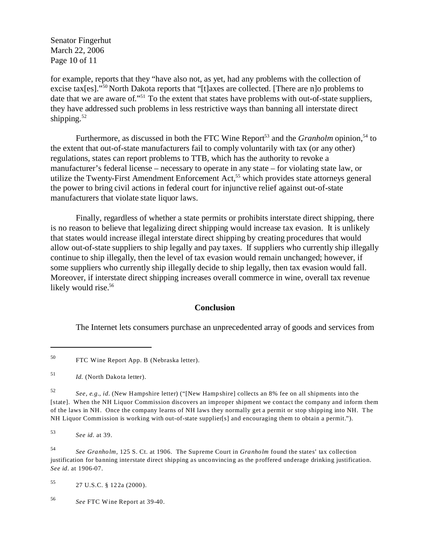Senator Fingerhut March 22, 2006 Page 10 of 11

for example, reports that they "have also not, as yet, had any problems with the collection of excise tax[es]."50 North Dakota reports that "[t]axes are collected. [There are n]o problems to date that we are aware of."<sup>51</sup> To the extent that states have problems with out-of-state suppliers, they have addressed such problems in less restrictive ways than banning all interstate direct shipping. $52$ 

Furthermore, as discussed in both the FTC Wine Report<sup>53</sup> and the *Granholm* opinion,<sup>54</sup> to the extent that out-of-state manufacturers fail to comply voluntarily with tax (or any other) regulations, states can report problems to TTB, which has the authority to revoke a manufacturer's federal license – necessary to operate in any state – for violating state law, or utilize the Twenty-First Amendment Enforcement Act,<sup>55</sup> which provides state attorneys general the power to bring civil actions in federal court for injunctive relief against out-of-state manufacturers that violate state liquor laws.

Finally, regardless of whether a state permits or prohibits interstate direct shipping, there is no reason to believe that legalizing direct shipping would increase tax evasion. It is unlikely that states would increase illegal interstate direct shipping by creating procedures that would allow out-of-state suppliers to ship legally and pay taxes. If suppliers who currently ship illegally continue to ship illegally, then the level of tax evasion would remain unchanged; however, if some suppliers who currently ship illegally decide to ship legally, then tax evasion would fall. Moreover, if interstate direct shipping increases overall commerce in wine, overall tax revenue likely would rise.<sup>56</sup>

#### **Conclusion**

The Internet lets consumers purchase an unprecedented array of goods and services from

55 27 U.S.C. § 122a (2000).

<sup>56</sup>*See* FTC Wine Report at 39-40.

<sup>50</sup> FTC Wine Report App. B (Nebraska letter).

<sup>51</sup>*Id.* (North Dakota letter).

<sup>52</sup>*See, e.g.*, *id.* (New Hampshire letter) ("[New Hampshire] collects an 8% fee on all shipments into the [state]. When the NH Liquor Commission discovers an improper shipment we contact the company and inform them of the laws in NH. Once the company learns of NH laws they normally get a permit or stop shipping into NH. The NH Liquor Commission is working with out-of-state supplier[s] and encouraging them to obtain a permit.").

<sup>53</sup>*See id.* at 39.

<sup>54</sup>*See Granholm*, 125 S. Ct. at 1906. The Supreme Court in *Granholm* found the states' tax collection justification for banning interstate direct shipping as unconvincing as the proffered underage drinking justification. *See id.* at 1906-07.